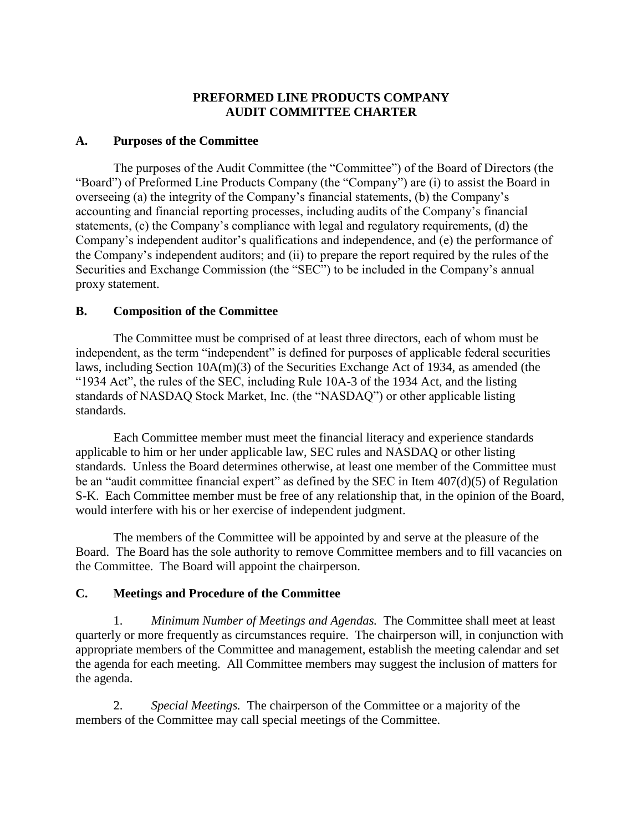# **PREFORMED LINE PRODUCTS COMPANY AUDIT COMMITTEE CHARTER**

## **A. Purposes of the Committee**

The purposes of the Audit Committee (the "Committee") of the Board of Directors (the "Board") of Preformed Line Products Company (the "Company") are (i) to assist the Board in overseeing (a) the integrity of the Company's financial statements, (b) the Company's accounting and financial reporting processes, including audits of the Company's financial statements, (c) the Company's compliance with legal and regulatory requirements, (d) the Company's independent auditor's qualifications and independence, and (e) the performance of the Company's independent auditors; and (ii) to prepare the report required by the rules of the Securities and Exchange Commission (the "SEC") to be included in the Company's annual proxy statement.

## **B. Composition of the Committee**

The Committee must be comprised of at least three directors, each of whom must be independent, as the term "independent" is defined for purposes of applicable federal securities laws, including Section 10A(m)(3) of the Securities Exchange Act of 1934, as amended (the "1934 Act", the rules of the SEC, including Rule 10A-3 of the 1934 Act, and the listing standards of NASDAQ Stock Market, Inc. (the "NASDAQ") or other applicable listing standards.

Each Committee member must meet the financial literacy and experience standards applicable to him or her under applicable law, SEC rules and NASDAQ or other listing standards. Unless the Board determines otherwise, at least one member of the Committee must be an "audit committee financial expert" as defined by the SEC in Item 407(d)(5) of Regulation S-K. Each Committee member must be free of any relationship that, in the opinion of the Board, would interfere with his or her exercise of independent judgment.

The members of the Committee will be appointed by and serve at the pleasure of the Board. The Board has the sole authority to remove Committee members and to fill vacancies on the Committee. The Board will appoint the chairperson.

# **C. Meetings and Procedure of the Committee**

1. *Minimum Number of Meetings and Agendas.* The Committee shall meet at least quarterly or more frequently as circumstances require. The chairperson will, in conjunction with appropriate members of the Committee and management, establish the meeting calendar and set the agenda for each meeting. All Committee members may suggest the inclusion of matters for the agenda.

2. *Special Meetings.* The chairperson of the Committee or a majority of the members of the Committee may call special meetings of the Committee.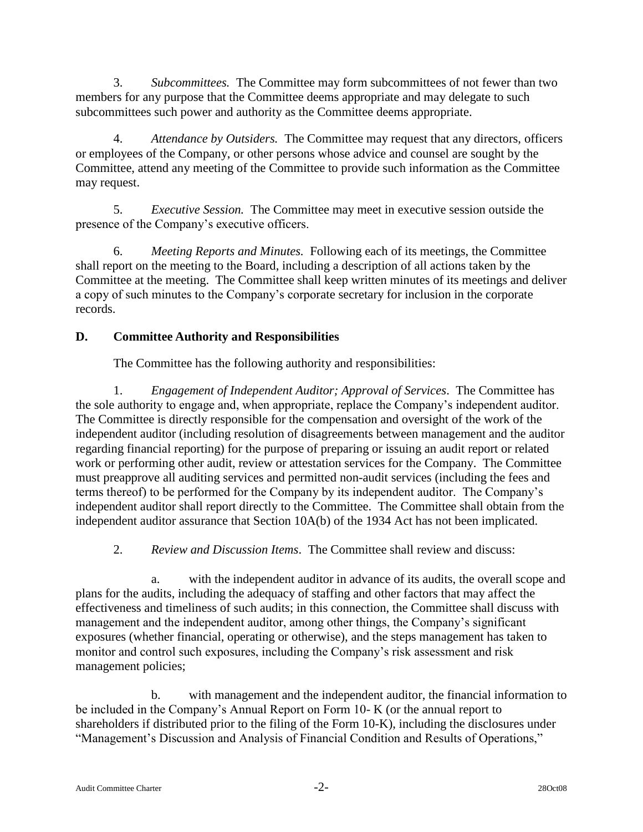3. *Subcommittees.* The Committee may form subcommittees of not fewer than two members for any purpose that the Committee deems appropriate and may delegate to such subcommittees such power and authority as the Committee deems appropriate.

4. *Attendance by Outsiders.* The Committee may request that any directors, officers or employees of the Company, or other persons whose advice and counsel are sought by the Committee, attend any meeting of the Committee to provide such information as the Committee may request.

5. *Executive Session.* The Committee may meet in executive session outside the presence of the Company's executive officers.

6. *Meeting Reports and Minutes.* Following each of its meetings, the Committee shall report on the meeting to the Board, including a description of all actions taken by the Committee at the meeting. The Committee shall keep written minutes of its meetings and deliver a copy of such minutes to the Company's corporate secretary for inclusion in the corporate records.

# **D. Committee Authority and Responsibilities**

The Committee has the following authority and responsibilities:

1. *Engagement of Independent Auditor; Approval of Services*. The Committee has the sole authority to engage and, when appropriate, replace the Company's independent auditor. The Committee is directly responsible for the compensation and oversight of the work of the independent auditor (including resolution of disagreements between management and the auditor regarding financial reporting) for the purpose of preparing or issuing an audit report or related work or performing other audit, review or attestation services for the Company. The Committee must preapprove all auditing services and permitted non-audit services (including the fees and terms thereof) to be performed for the Company by its independent auditor. The Company's independent auditor shall report directly to the Committee. The Committee shall obtain from the independent auditor assurance that Section 10A(b) of the 1934 Act has not been implicated.

2. *Review and Discussion Items*. The Committee shall review and discuss:

a. with the independent auditor in advance of its audits, the overall scope and plans for the audits, including the adequacy of staffing and other factors that may affect the effectiveness and timeliness of such audits; in this connection, the Committee shall discuss with management and the independent auditor, among other things, the Company's significant exposures (whether financial, operating or otherwise), and the steps management has taken to monitor and control such exposures, including the Company's risk assessment and risk management policies;

b. with management and the independent auditor, the financial information to be included in the Company's Annual Report on Form 10- K (or the annual report to shareholders if distributed prior to the filing of the Form 10-K), including the disclosures under "Management's Discussion and Analysis of Financial Condition and Results of Operations,"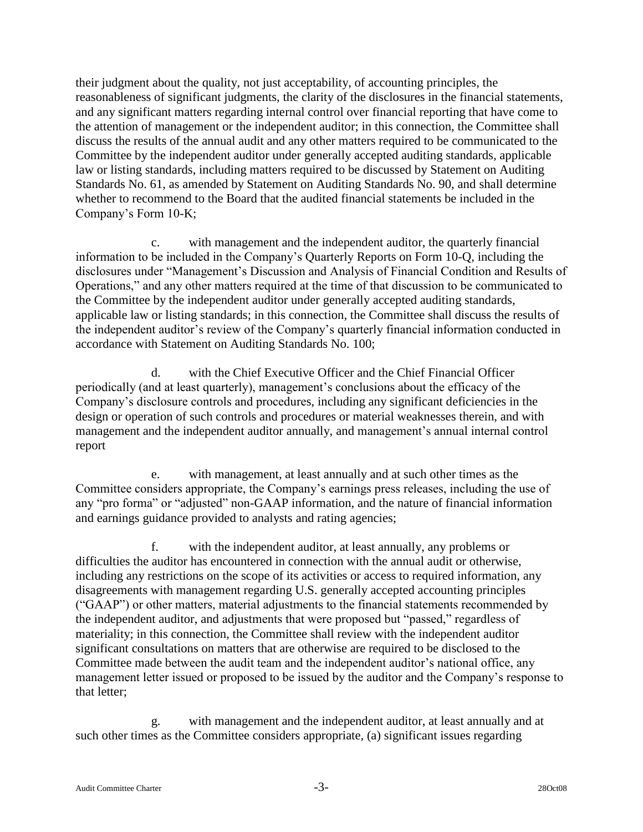their judgment about the quality, not just acceptability, of accounting principles, the reasonableness of significant judgments, the clarity of the disclosures in the financial statements, and any significant matters regarding internal control over financial reporting that have come to the attention of management or the independent auditor; in this connection, the Committee shall discuss the results of the annual audit and any other matters required to be communicated to the Committee by the independent auditor under generally accepted auditing standards, applicable law or listing standards, including matters required to be discussed by Statement on Auditing Standards No. 61, as amended by Statement on Auditing Standards No. 90, and shall determine whether to recommend to the Board that the audited financial statements be included in the Company's Form 10-K;

c. with management and the independent auditor, the quarterly financial information to be included in the Company's Quarterly Reports on Form 10-Q, including the disclosures under "Management's Discussion and Analysis of Financial Condition and Results of Operations," and any other matters required at the time of that discussion to be communicated to the Committee by the independent auditor under generally accepted auditing standards, applicable law or listing standards; in this connection, the Committee shall discuss the results of the independent auditor's review of the Company's quarterly financial information conducted in accordance with Statement on Auditing Standards No. 100;

d. with the Chief Executive Officer and the Chief Financial Officer periodically (and at least quarterly), management's conclusions about the efficacy of the Company's disclosure controls and procedures, including any significant deficiencies in the design or operation of such controls and procedures or material weaknesses therein, and with management and the independent auditor annually, and management's annual internal control report

e. with management, at least annually and at such other times as the Committee considers appropriate, the Company's earnings press releases, including the use of any "pro forma" or "adjusted" non-GAAP information, and the nature of financial information and earnings guidance provided to analysts and rating agencies;

f. with the independent auditor, at least annually, any problems or difficulties the auditor has encountered in connection with the annual audit or otherwise, including any restrictions on the scope of its activities or access to required information, any disagreements with management regarding U.S. generally accepted accounting principles ("GAAP") or other matters, material adjustments to the financial statements recommended by the independent auditor, and adjustments that were proposed but "passed," regardless of materiality; in this connection, the Committee shall review with the independent auditor significant consultations on matters that are otherwise are required to be disclosed to the Committee made between the audit team and the independent auditor's national office, any management letter issued or proposed to be issued by the auditor and the Company's response to that letter;

g. with management and the independent auditor, at least annually and at such other times as the Committee considers appropriate, (a) significant issues regarding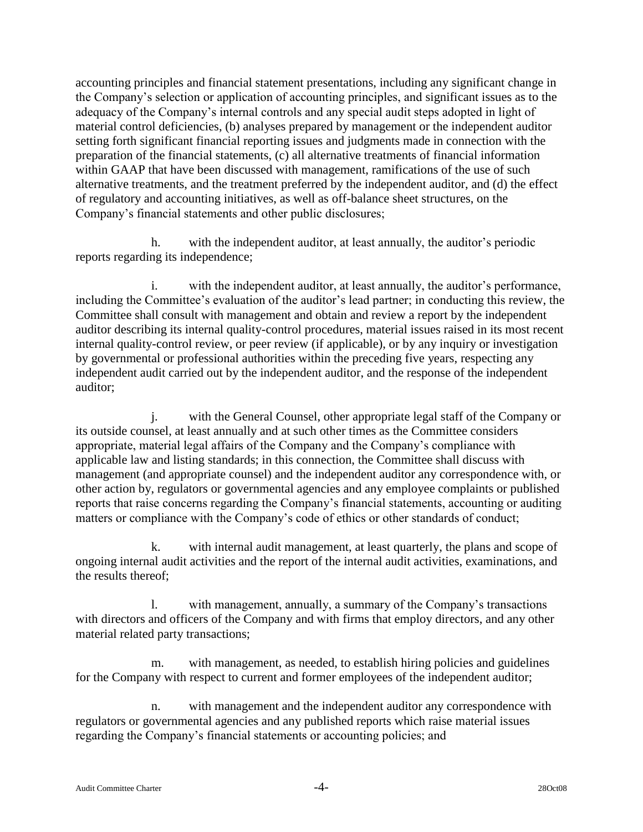accounting principles and financial statement presentations, including any significant change in the Company's selection or application of accounting principles, and significant issues as to the adequacy of the Company's internal controls and any special audit steps adopted in light of material control deficiencies, (b) analyses prepared by management or the independent auditor setting forth significant financial reporting issues and judgments made in connection with the preparation of the financial statements, (c) all alternative treatments of financial information within GAAP that have been discussed with management, ramifications of the use of such alternative treatments, and the treatment preferred by the independent auditor, and (d) the effect of regulatory and accounting initiatives, as well as off-balance sheet structures, on the Company's financial statements and other public disclosures;

h. with the independent auditor, at least annually, the auditor's periodic reports regarding its independence;

i. with the independent auditor, at least annually, the auditor's performance, including the Committee's evaluation of the auditor's lead partner; in conducting this review, the Committee shall consult with management and obtain and review a report by the independent auditor describing its internal quality-control procedures, material issues raised in its most recent internal quality-control review, or peer review (if applicable), or by any inquiry or investigation by governmental or professional authorities within the preceding five years, respecting any independent audit carried out by the independent auditor, and the response of the independent auditor;

j. with the General Counsel, other appropriate legal staff of the Company or its outside counsel, at least annually and at such other times as the Committee considers appropriate, material legal affairs of the Company and the Company's compliance with applicable law and listing standards; in this connection, the Committee shall discuss with management (and appropriate counsel) and the independent auditor any correspondence with, or other action by, regulators or governmental agencies and any employee complaints or published reports that raise concerns regarding the Company's financial statements, accounting or auditing matters or compliance with the Company's code of ethics or other standards of conduct;

k. with internal audit management, at least quarterly, the plans and scope of ongoing internal audit activities and the report of the internal audit activities, examinations, and the results thereof;

l. with management, annually, a summary of the Company's transactions with directors and officers of the Company and with firms that employ directors, and any other material related party transactions;

m. with management, as needed, to establish hiring policies and guidelines for the Company with respect to current and former employees of the independent auditor;

n. with management and the independent auditor any correspondence with regulators or governmental agencies and any published reports which raise material issues regarding the Company's financial statements or accounting policies; and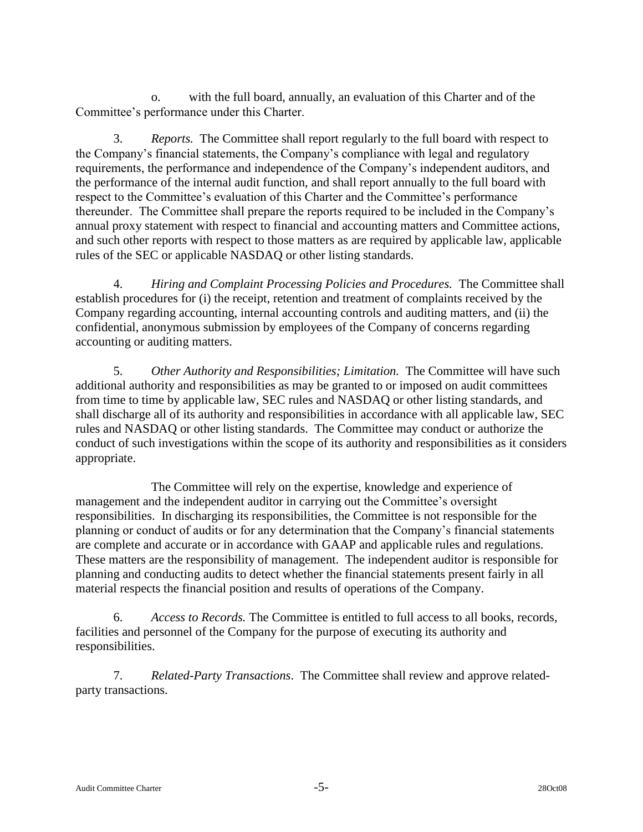o. with the full board, annually, an evaluation of this Charter and of the Committee's performance under this Charter.

3. *Reports.* The Committee shall report regularly to the full board with respect to the Company's financial statements, the Company's compliance with legal and regulatory requirements, the performance and independence of the Company's independent auditors, and the performance of the internal audit function, and shall report annually to the full board with respect to the Committee's evaluation of this Charter and the Committee's performance thereunder. The Committee shall prepare the reports required to be included in the Company's annual proxy statement with respect to financial and accounting matters and Committee actions, and such other reports with respect to those matters as are required by applicable law, applicable rules of the SEC or applicable NASDAQ or other listing standards.

4. *Hiring and Complaint Processing Policies and Procedures.* The Committee shall establish procedures for (i) the receipt, retention and treatment of complaints received by the Company regarding accounting, internal accounting controls and auditing matters, and (ii) the confidential, anonymous submission by employees of the Company of concerns regarding accounting or auditing matters.

5. *Other Authority and Responsibilities; Limitation.* The Committee will have such additional authority and responsibilities as may be granted to or imposed on audit committees from time to time by applicable law, SEC rules and NASDAQ or other listing standards, and shall discharge all of its authority and responsibilities in accordance with all applicable law, SEC rules and NASDAQ or other listing standards. The Committee may conduct or authorize the conduct of such investigations within the scope of its authority and responsibilities as it considers appropriate.

The Committee will rely on the expertise, knowledge and experience of management and the independent auditor in carrying out the Committee's oversight responsibilities. In discharging its responsibilities, the Committee is not responsible for the planning or conduct of audits or for any determination that the Company's financial statements are complete and accurate or in accordance with GAAP and applicable rules and regulations. These matters are the responsibility of management. The independent auditor is responsible for planning and conducting audits to detect whether the financial statements present fairly in all material respects the financial position and results of operations of the Company.

6. *Access to Records.* The Committee is entitled to full access to all books, records, facilities and personnel of the Company for the purpose of executing its authority and responsibilities.

7. *Related-Party Transactions*. The Committee shall review and approve relatedparty transactions.